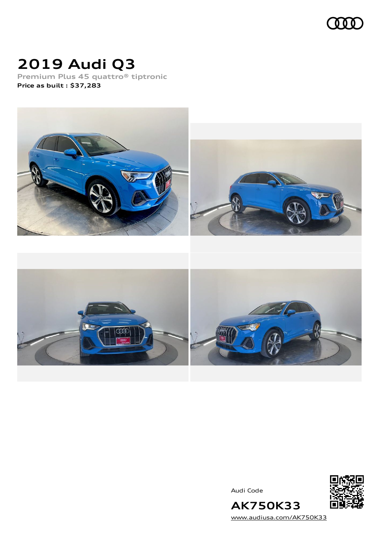

# **2019 Audi Q3**

**Premium Plus 45 quattro® tiptronic Price as built [:](#page-8-0) \$37,283**



Audi Code



**AK750K33** [www.audiusa.com/AK750K33](https://www.audiusa.com/AK750K33)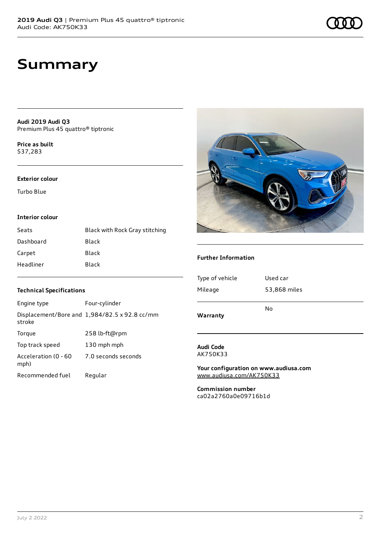# **Summary**

**Audi 2019 Audi Q3** Premium Plus 45 quattro® tiptronic

**Price as buil[t](#page-8-0)** \$37,283

#### **Exterior colour**

Turbo Blue

#### **Interior colour**

| Seats     | Black with Rock Gray stitching |
|-----------|--------------------------------|
| Dashboard | Black                          |
| Carpet    | Black                          |
| Headliner | Black                          |

### **Technical Specifications**

| Engine type                  | Four-cylinder                                 |
|------------------------------|-----------------------------------------------|
| stroke                       | Displacement/Bore and 1,984/82.5 x 92.8 cc/mm |
| Torque                       | 258 lb-ft@rpm                                 |
| Top track speed              | 130 mph mph                                   |
| Acceleration (0 - 60<br>mph) | 7.0 seconds seconds                           |
| Recommended fuel             | Regular                                       |



### **Further Information**

| Warranty        |              |
|-----------------|--------------|
|                 | N٥           |
| Mileage         | 53,868 miles |
| Type of vehicle | Used car     |
|                 |              |

**Audi Code** AK750K33

**Your configuration on www.audiusa.com** [www.audiusa.com/AK750K33](https://www.audiusa.com/AK750K33)

**Commission number** ca02a2760a0e09716b1d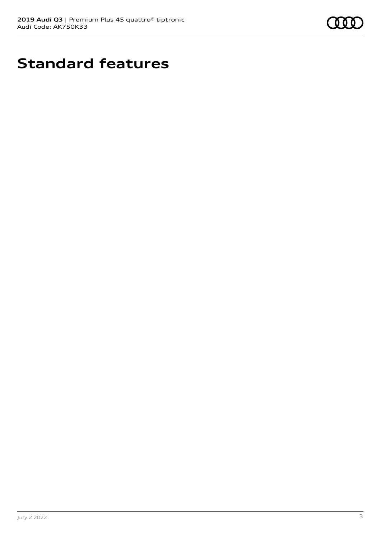

# **Standard features**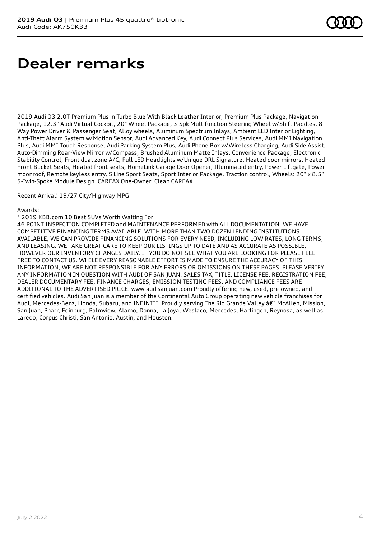# **Dealer remarks**

2019 Audi Q3 2.0T Premium Plus in Turbo Blue With Black Leather Interior, Premium Plus Package, Navigation Package, 12.3" Audi Virtual Cockpit, 20" Wheel Package, 3-Spk Multifunction Steering Wheel w/Shift Paddles, 8- Way Power Driver & Passenger Seat, Alloy wheels, Aluminum Spectrum Inlays, Ambient LED Interior Lighting, Anti-Theft Alarm System w/Motion Sensor, Audi Advanced Key, Audi Connect Plus Services, Audi MMI Navigation Plus, Audi MMI Touch Response, Audi Parking System Plus, Audi Phone Box w/Wireless Charging, Audi Side Assist, Auto-Dimming Rear-View Mirror w/Compass, Brushed Aluminum Matte Inlays, Convenience Package, Electronic Stability Control, Front dual zone A/C, Full LED Headlights w/Unique DRL Signature, Heated door mirrors, Heated Front Bucket Seats, Heated front seats, HomeLink Garage Door Opener, Illuminated entry, Power Liftgate, Power moonroof, Remote keyless entry, S Line Sport Seats, Sport Interior Package, Traction control, Wheels: 20" x 8.5" 5-Twin-Spoke Module Design. CARFAX One-Owner. Clean CARFAX.

#### Recent Arrival! 19/27 City/Highway MPG

#### Awards:

#### \* 2019 KBB.com 10 Best SUVs Worth Waiting For

46 POINT INSPECTION COMPLETED and MAINTENANCE PERFORMED with ALL DOCUMENTATION. WE HAVE COMPETITIVE FINANCING TERMS AVAILABLE. WITH MORE THAN TWO DOZEN LENDING INSTITUTIONS AVAILABLE, WE CAN PROVIDE FINANCING SOLUTIONS FOR EVERY NEED, INCLUDING LOW RATES, LONG TERMS, AND LEASING. WE TAKE GREAT CARE TO KEEP OUR LISTINGS UP TO DATE AND AS ACCURATE AS POSSIBLE, HOWEVER OUR INVENTORY CHANGES DAILY. IF YOU DO NOT SEE WHAT YOU ARE LOOKING FOR PLEASE FEEL FREE TO CONTACT US. WHILE EVERY REASONABLE EFFORT IS MADE TO ENSURE THE ACCURACY OF THIS INFORMATION, WE ARE NOT RESPONSIBLE FOR ANY ERRORS OR OMISSIONS ON THESE PAGES. PLEASE VERIFY ANY INFORMATION IN QUESTION WITH AUDI OF SAN JUAN. SALES TAX, TITLE, LICENSE FEE, REGISTRATION FEE, DEALER DOCUMENTARY FEE, FINANCE CHARGES, EMISSION TESTING FEES, AND COMPLIANCE FEES ARE ADDITIONAL TO THE ADVERTISED PRICE. www.audisanjuan.com Proudly offering new, used, pre-owned, and certified vehicles. Audi San Juan is a member of the Continental Auto Group operating new vehicle franchises for Audi, Mercedes-Benz, Honda, Subaru, and INFINITI. Proudly serving The Rio Grande Valley â€" McAllen, Mission, San Juan, Pharr, Edinburg, Palmview, Alamo, Donna, La Joya, Weslaco, Mercedes, Harlingen, Reynosa, as well as Laredo, Corpus Christi, San Antonio, Austin, and Houston.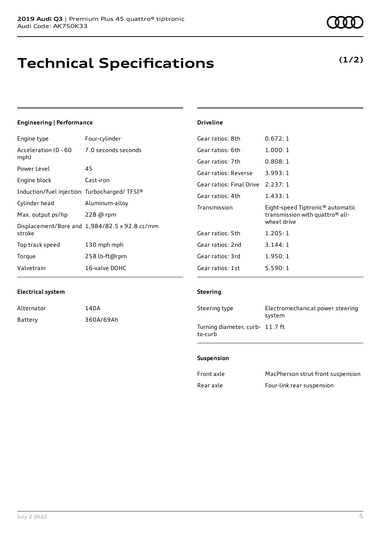# **Technical Specifications**

**(1/2)**

| Engineering   Performance                   | <b>Driveline</b>                              |                                              |
|---------------------------------------------|-----------------------------------------------|----------------------------------------------|
| Four-cylinder                               | Gear ratios: 8th                              | 0.672:1                                      |
| 7.0 seconds seconds                         | Gear ratios: 6th                              | 1.000:1                                      |
|                                             | Gear ratios: 7th                              | 0.808:1                                      |
| 45                                          | Gear ratios: Reverse                          | 3.993:1                                      |
| Cast-iron                                   | Gear ratios: Final Drive                      | 2.237:1                                      |
| Induction/fuel injection Turbocharged/TFSI® | Gear ratios: 4th                              | 1.433:1                                      |
| Aluminum-alloy                              |                                               | Eight-speed Tiptronic <sup>®</sup> automatic |
| $228$ @ rpm                                 |                                               | transmission with quattro® all-              |
|                                             |                                               | wheel drive                                  |
|                                             | Gear ratios: 5th                              | 1.205:1                                      |
| 130 mph mph                                 | Gear ratios: 2nd                              | 3.144:1                                      |
| 258 lb-ft@rpm                               | Gear ratios: 3rd                              | 1.950:1                                      |
| 16-valve DOHC                               | Gear ratios: 1st                              | 5.590:1                                      |
|                                             | Displacement/Bore and 1,984/82.5 x 92.8 cc/mm | Transmission                                 |

### **Electrical system**

| Alternator | 140A      |
|------------|-----------|
| Battery    | 360A/69Ah |

#### **Steering**

| Steering type                              | Electromechanical power steering<br>system |
|--------------------------------------------|--------------------------------------------|
| Turning diameter, curb- 11.7 ft<br>to-curb |                                            |

#### **Suspension**

| Front axle | MacPherson strut front suspension |
|------------|-----------------------------------|
| Rear axle  | Four-link rear suspension         |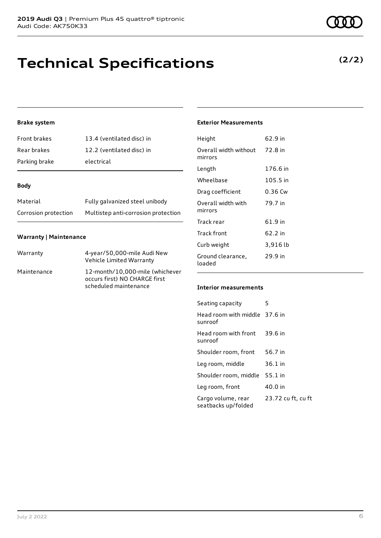# **Technical Specifications**

### **Brake system**

| Front brakes  | 13.4 (ventilated disc) in |
|---------------|---------------------------|
| Rear brakes   | 12.2 (ventilated disc) in |
| Parking brake | electrical                |

#### **Body**

| Material             | Fully galvanized steel unibody      |
|----------------------|-------------------------------------|
| Corrosion protection | Multistep anti-corrosion protection |

#### **Warranty | Maintenance**

| Warranty    | 4-year/50,000-mile Audi New<br>Vehicle Limited Warranty                                   |
|-------------|-------------------------------------------------------------------------------------------|
| Maintenance | 12-month/10,000-mile (whichever<br>occurs first) NO CHARGE first<br>scheduled maintenance |

### **Exterior Measurements**

| Height                           | 62.9 in   |
|----------------------------------|-----------|
| Overall width without<br>mirrors | 72.8 in   |
| Length                           | 176.6 in  |
| Wheelbase                        | 105.5 in  |
| Drag coefficient                 | $0.36$ Cw |
| Overall width with<br>mirrors    | 79.7 in   |
| Track rear                       | 61.9 in   |
| Track front                      | 62.2 in   |
| Curb weight                      | 3,916 lb  |
| Ground clearance,<br>loaded      | 29.9 in   |

### **Interior measurements**

| Seating capacity                          | 5                  |
|-------------------------------------------|--------------------|
| Head room with middle 37.6 in<br>sunroof  |                    |
| Head room with front<br>sunroof           | 39.6 in            |
| Shoulder room, front                      | 56.7 in            |
| Leg room, middle                          | 36.1 in            |
| Shoulder room, middle                     | 55.1 in            |
| Leg room, front                           | 40.0 in            |
| Cargo volume, rear<br>seatbacks up/folded | 23.72 cu ft, cu ft |



### **(2/2)**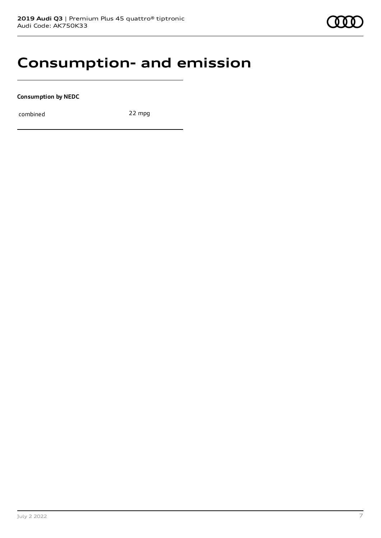### **Consumption- and emission**

**Consumption by NEDC**

combined 22 mpg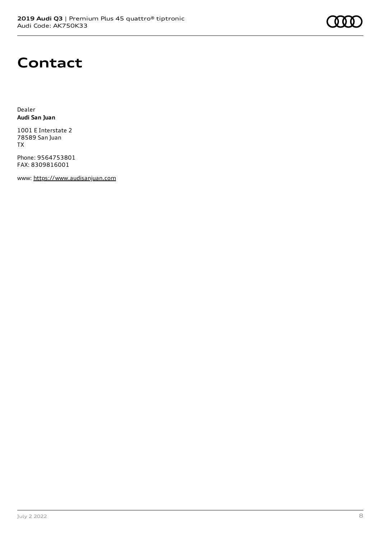# **Contact**

Dealer **Audi San Juan**

1001 E Interstate 2 78589 San Juan TX

Phone: 9564753801 FAX: 8309816001

www: [https://www.audisanjuan.com](https://www.audisanjuan.com/)